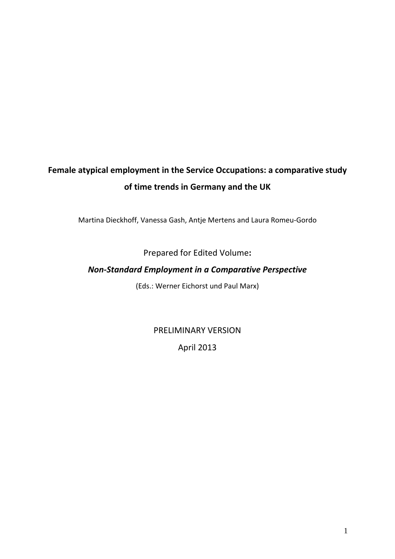# **Female atypical employment in the Service Occupations: a comparative study of time trends in Germany and the UK**

Martina Dieckhoff, Vanessa Gash, Antje Mertens and Laura Romeu‐Gordo

# Prepared for Edited Volume**:**

# *Non‐Standard Employment in a Comparative Perspective*

(Eds.: Werner Eichorst und Paul Marx)

PRELIMINARY VERSION April 2013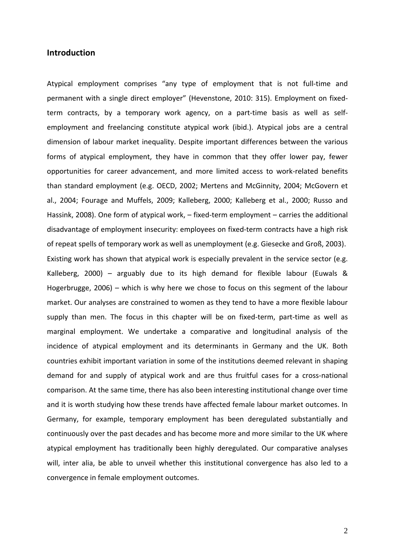# **Introduction**

Atypical employment comprises "any type of employment that is not full‐time and permanent with a single direct employer" (Hevenstone, 2010: 315). Employment on fixed‐ term contracts, by a temporary work agency, on a part-time basis as well as selfemployment and freelancing constitute atypical work (ibid.). Atypical jobs are a central dimension of labour market inequality. Despite important differences between the various forms of atypical employment, they have in common that they offer lower pay, fewer opportunities for career advancement, and more limited access to work‐related benefits than standard employment (e.g. OECD, 2002; Mertens and McGinnity, 2004; McGovern et al., 2004; Fourage and Muffels, 2009; Kalleberg, 2000; Kalleberg et al., 2000; Russo and Hassink, 2008). One form of atypical work, – fixed-term employment – carries the additional disadvantage of employment insecurity: employees on fixed‐term contracts have a high risk of repeat spells of temporary work as well as unemployment (e.g. Giesecke and Groß, 2003). Existing work has shown that atypical work is especially prevalent in the service sector (e.g. Kalleberg, 2000) – arguably due to its high demand for flexible labour (Euwals & Hogerbrugge, 2006) – which is why here we chose to focus on this segment of the labour market. Our analyses are constrained to women as they tend to have a more flexible labour supply than men. The focus in this chapter will be on fixed-term, part-time as well as marginal employment. We undertake a comparative and longitudinal analysis of the incidence of atypical employment and its determinants in Germany and the UK. Both countries exhibit important variation in some of the institutions deemed relevant in shaping demand for and supply of atypical work and are thus fruitful cases for a cross‐national comparison. At the same time, there has also been interesting institutional change over time and it is worth studying how these trends have affected female labour market outcomes. In Germany, for example, temporary employment has been deregulated substantially and continuously over the past decades and has become more and more similar to the UK where atypical employment has traditionally been highly deregulated. Our comparative analyses will, inter alia, be able to unveil whether this institutional convergence has also led to a convergence in female employment outcomes.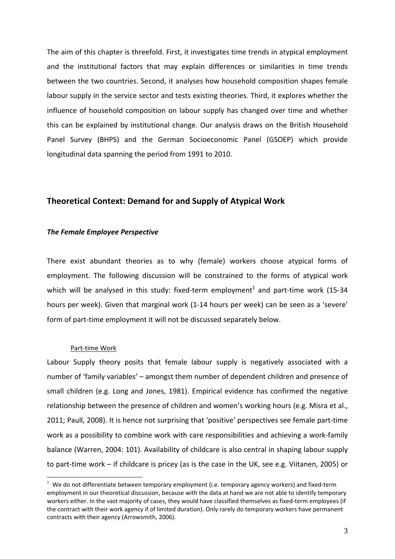The aim of this chapter is threefold. First, it investigates time trends in atypical employment and the institutional factors that may explain differences or similarities in time trends between the two countries. Second, it analyses how household composition shapes female labour supply in the service sector and tests existing theories. Third, it explores whether the influence of household composition on labour supply has changed over time and whether this can be explained by institutional change. Our analysis draws on the British Household Panel Survey (BHPS) and the German Socioeconomic Panel (GSOEP) which provide longitudinal data spanning the period from 1991 to 2010.

# **Theoretical Context: Demand for and Supply of Atypical Work**

#### *The Female Employee Perspective*

There exist abundant theories as to why (female) workers choose atypical forms of employment. The following discussion will be constrained to the forms of atypical work which will be analysed in this study: fixed-term employment<sup>1</sup> and part-time work (15-34 hours per week). Given that marginal work (1‐14 hours per week) can be seen as a 'severe' form of part-time employment it will not be discussed separately below.

#### Part‐time Work

1

Labour Supply theory posits that female labour supply is negatively associated with a number of 'family variables' – amongst them number of dependent children and presence of small children (e.g. Long and Jones, 1981). Empirical evidence has confirmed the negative relationship between the presence of children and women's working hours (e.g. Misra et al., 2011; Paull, 2008). It is hence not surprising that 'positive' perspectives see female part-time work as a possibility to combine work with care responsibilities and achieving a work‐family balance (Warren, 2004: 101). Availability of childcare is also central in shaping labour supply to part‐time work – if childcare is pricey (as is the case in the UK, see e.g. Viitanen, 2005) or

 $1$  We do not differentiate between temporary employment (i.e. temporary agency workers) and fixed-term employment in our theoretical discussion, because with the data at hand we are not able to identify temporary workers either. In the vast majority of cases, they would have classified themselves as fixed-term employees (if the contract with their work agency if of limited duration). Only rarely do temporary workers have permanent contracts with their agency (Arrowsmith, 2006).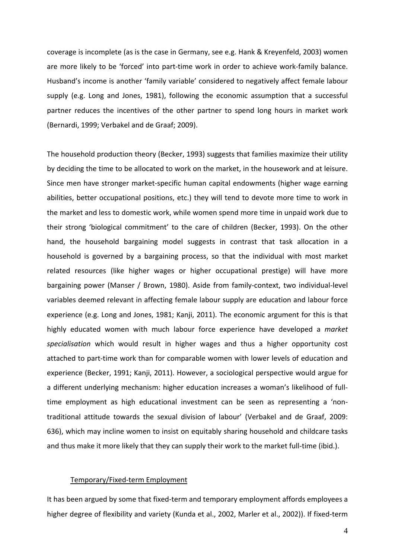coverage is incomplete (as is the case in Germany, see e.g. Hank & Kreyenfeld, 2003) women are more likely to be 'forced' into part‐time work in order to achieve work‐family balance. Husband's income is another 'family variable' considered to negatively affect female labour supply (e.g. Long and Jones, 1981), following the economic assumption that a successful partner reduces the incentives of the other partner to spend long hours in market work (Bernardi, 1999; Verbakel and de Graaf; 2009).

The household production theory (Becker, 1993) suggests that families maximize their utility by deciding the time to be allocated to work on the market, in the housework and at leisure. Since men have stronger market‐specific human capital endowments (higher wage earning abilities, better occupational positions, etc.) they will tend to devote more time to work in the market and less to domestic work, while women spend more time in unpaid work due to their strong 'biological commitment' to the care of children (Becker, 1993). On the other hand, the household bargaining model suggests in contrast that task allocation in a household is governed by a bargaining process, so that the individual with most market related resources (like higher wages or higher occupational prestige) will have more bargaining power (Manser / Brown, 1980). Aside from family-context, two individual-level variables deemed relevant in affecting female labour supply are education and labour force experience (e.g. Long and Jones, 1981; Kanji, 2011). The economic argument for this is that highly educated women with much labour force experience have developed a *market specialisation* which would result in higher wages and thus a higher opportunity cost attached to part‐time work than for comparable women with lower levels of education and experience (Becker, 1991; Kanji, 2011). However, a sociological perspective would argue for a different underlying mechanism: higher education increases a woman's likelihood of full‐ time employment as high educational investment can be seen as representing a 'non‐ traditional attitude towards the sexual division of labour' (Verbakel and de Graaf, 2009: 636), which may incline women to insist on equitably sharing household and childcare tasks and thus make it more likely that they can supply their work to the market full-time (ibid.).

#### Temporary/Fixed‐term Employment

It has been argued by some that fixed‐term and temporary employment affords employees a higher degree of flexibility and variety (Kunda et al., 2002, Marler et al., 2002)). If fixed-term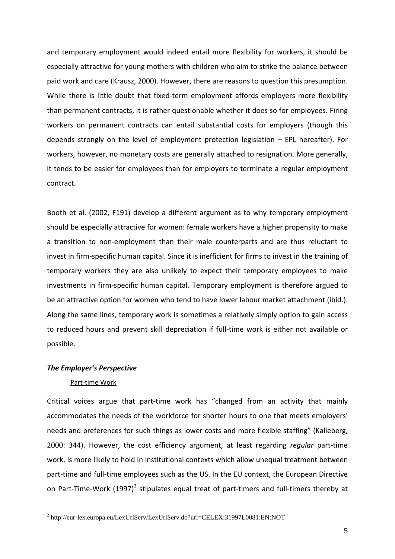and temporary employment would indeed entail more flexibility for workers, it should be especially attractive for young mothers with children who aim to strike the balance between paid work and care (Krausz, 2000). However, there are reasons to question this presumption. While there is little doubt that fixed-term employment affords employers more flexibility than permanent contracts, it is rather questionable whether it does so for employees. Firing workers on permanent contracts can entail substantial costs for employers (though this depends strongly on the level of employment protection legislation – EPL hereafter). For workers, however, no monetary costs are generally attached to resignation. More generally, it tends to be easier for employees than for employers to terminate a regular employment contract.

Booth et al. (2002, F191) develop a different argument as to why temporary employment should be especially attractive for women: female workers have a higher propensity to make a transition to non‐employment than their male counterparts and are thus reluctant to invest in firm‐specific human capital. Since it is inefficient for firms to invest in the training of temporary workers they are also unlikely to expect their temporary employees to make investments in firm‐specific human capital. Temporary employment is therefore argued to be an attractive option for women who tend to have lower labour market attachment (ibid.). Along the same lines, temporary work is sometimes a relatively simply option to gain access to reduced hours and prevent skill depreciation if full-time work is either not available or possible.

#### *The Employer's Perspective*

#### Part‐time Work

1

Critical voices argue that part‐time work has "changed from an activity that mainly accommodates the needs of the workforce for shorter hours to one that meets employers' needs and preferences for such things as lower costs and more flexible staffing" (Kalleberg, 2000: 344). However, the cost efficiency argument, at least regarding *regular* part‐time work, is more likely to hold in institutional contexts which allow unequal treatment between part-time and full-time employees such as the US. In the EU context, the European Directive on Part-Time-Work  $(1997)^2$  stipulates equal treat of part-timers and full-timers thereby at

<sup>&</sup>lt;sup>2</sup> http://eur-lex.europa.eu/LexUriServ/LexUriServ.do?uri=CELEX:31997L0081:EN:NOT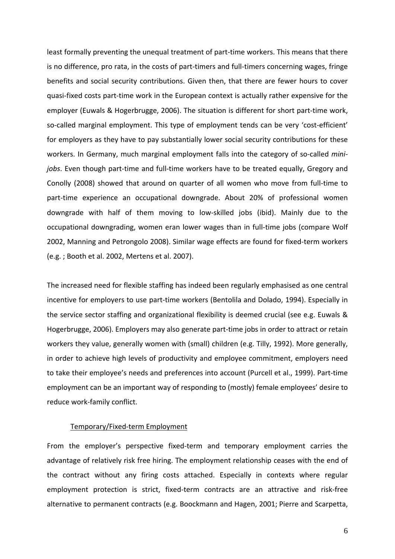least formally preventing the unequal treatment of part-time workers. This means that there is no difference, pro rata, in the costs of part-timers and full-timers concerning wages, fringe benefits and social security contributions. Given then, that there are fewer hours to cover quasi‐fixed costs part‐time work in the European context is actually rather expensive for the employer (Euwals & Hogerbrugge, 2006). The situation is different for short part-time work, so-called marginal employment. This type of employment tends can be very 'cost-efficient' for employers as they have to pay substantially lower social security contributions for these workers. In Germany, much marginal employment falls into the category of so-called *mini*jobs. Even though part-time and full-time workers have to be treated equally, Gregory and Conolly (2008) showed that around on quarter of all women who move from full‐time to part-time experience an occupational downgrade. About 20% of professional women downgrade with half of them moving to low‐skilled jobs (ibid). Mainly due to the occupational downgrading, women eran lower wages than in full‐time jobs (compare Wolf 2002, Manning and Petrongolo 2008). Similar wage effects are found for fixed-term workers (e.g. ; Booth et al. 2002, Mertens et al. 2007).

The increased need for flexible staffing has indeed been regularly emphasised as one central incentive for employers to use part‐time workers (Bentolila and Dolado, 1994). Especially in the service sector staffing and organizational flexibility is deemed crucial (see e.g. Euwals & Hogerbrugge, 2006). Employers may also generate part‐time jobs in order to attract or retain workers they value, generally women with (small) children (e.g. Tilly, 1992). More generally, in order to achieve high levels of productivity and employee commitment, employers need to take their employee's needs and preferences into account (Purcell et al., 1999). Part‐time employment can be an important way of responding to (mostly) female employees' desire to reduce work‐family conflict.

#### Temporary/Fixed‐term Employment

From the employer's perspective fixed-term and temporary employment carries the advantage of relatively risk free hiring. The employment relationship ceases with the end of the contract without any firing costs attached. Especially in contexts where regular employment protection is strict, fixed-term contracts are an attractive and risk-free alternative to permanent contracts (e.g. Boockmann and Hagen, 2001; Pierre and Scarpetta,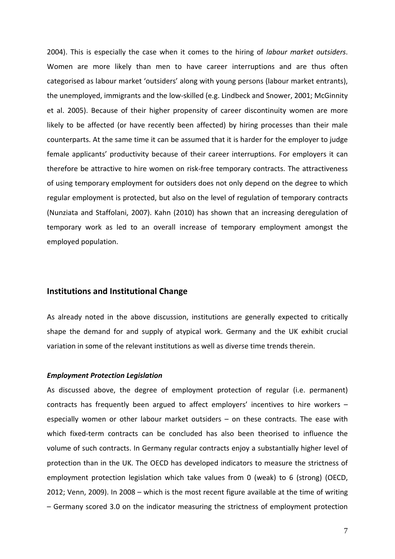2004). This is especially the case when it comes to the hiring of *labour market outsiders*. Women are more likely than men to have career interruptions and are thus often categorised as labour market 'outsiders' along with young persons (labour market entrants), the unemployed, immigrants and the low‐skilled (e.g. Lindbeck and Snower, 2001; McGinnity et al. 2005). Because of their higher propensity of career discontinuity women are more likely to be affected (or have recently been affected) by hiring processes than their male counterparts. At the same time it can be assumed that it is harder for the employer to judge female applicants' productivity because of their career interruptions. For employers it can therefore be attractive to hire women on risk‐free temporary contracts. The attractiveness of using temporary employment for outsiders does not only depend on the degree to which regular employment is protected, but also on the level of regulation of temporary contracts (Nunziata and Staffolani, 2007). Kahn (2010) has shown that an increasing deregulation of temporary work as led to an overall increase of temporary employment amongst the employed population.

# **Institutions and Institutional Change**

As already noted in the above discussion, institutions are generally expected to critically shape the demand for and supply of atypical work. Germany and the UK exhibit crucial variation in some of the relevant institutions as well as diverse time trends therein.

#### *Employment Protection Legislation*

As discussed above, the degree of employment protection of regular (i.e. permanent) contracts has frequently been argued to affect employers' incentives to hire workers – especially women or other labour market outsiders – on these contracts. The ease with which fixed-term contracts can be concluded has also been theorised to influence the volume of such contracts. In Germany regular contracts enjoy a substantially higher level of protection than in the UK. The OECD has developed indicators to measure the strictness of employment protection legislation which take values from 0 (weak) to 6 (strong) (OECD, 2012; Venn, 2009). In 2008 – which is the most recent figure available at the time of writing – Germany scored 3.0 on the indicator measuring the strictness of employment protection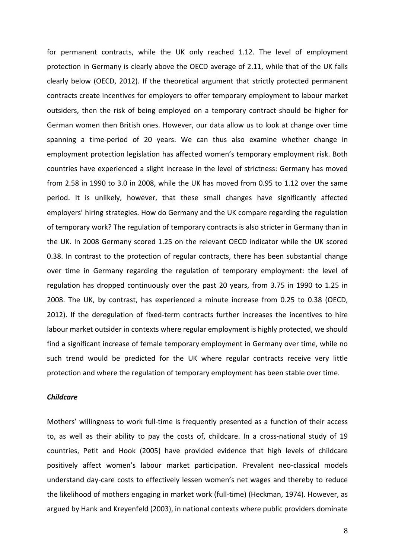for permanent contracts, while the UK only reached 1.12. The level of employment protection in Germany is clearly above the OECD average of 2.11, while that of the UK falls clearly below (OECD, 2012). If the theoretical argument that strictly protected permanent contracts create incentives for employers to offer temporary employment to labour market outsiders, then the risk of being employed on a temporary contract should be higher for German women then British ones. However, our data allow us to look at change over time spanning a time‐period of 20 years. We can thus also examine whether change in employment protection legislation has affected women's temporary employment risk. Both countries have experienced a slight increase in the level of strictness: Germany has moved from 2.58 in 1990 to 3.0 in 2008, while the UK has moved from 0.95 to 1.12 over the same period. It is unlikely, however, that these small changes have significantly affected employers' hiring strategies. How do Germany and the UK compare regarding the regulation of temporary work? The regulation of temporary contracts is also stricter in Germany than in the UK. In 2008 Germany scored 1.25 on the relevant OECD indicator while the UK scored 0.38. In contrast to the protection of regular contracts, there has been substantial change over time in Germany regarding the regulation of temporary employment: the level of regulation has dropped continuously over the past 20 years, from 3.75 in 1990 to 1.25 in 2008. The UK, by contrast, has experienced a minute increase from 0.25 to 0.38 (OECD, 2012). If the deregulation of fixed-term contracts further increases the incentives to hire labour market outsider in contexts where regular employment is highly protected, we should find a significant increase of female temporary employment in Germany over time, while no such trend would be predicted for the UK where regular contracts receive very little protection and where the regulation of temporary employment has been stable over time.

#### *Childcare*

Mothers' willingness to work full-time is frequently presented as a function of their access to, as well as their ability to pay the costs of, childcare. In a cross-national study of 19 countries, Petit and Hook (2005) have provided evidence that high levels of childcare positively affect women's labour market participation. Prevalent neo‐classical models understand day‐care costs to effectively lessen women's net wages and thereby to reduce the likelihood of mothers engaging in market work (full-time) (Heckman, 1974). However, as argued by Hank and Kreyenfeld (2003), in national contexts where public providers dominate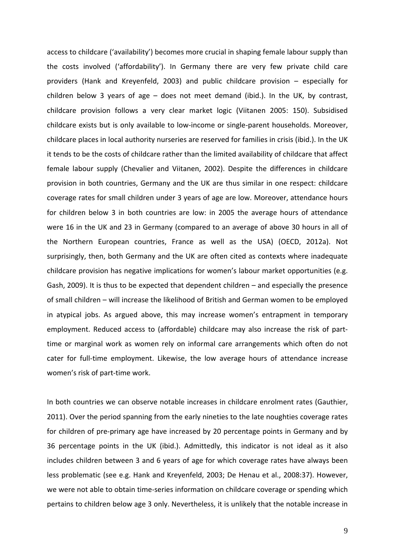access to childcare ('availability') becomes more crucial in shaping female labour supply than the costs involved ('affordability'). In Germany there are very few private child care providers (Hank and Kreyenfeld, 2003) and public childcare provision – especially for children below 3 years of age – does not meet demand (ibid.). In the UK, by contrast, childcare provision follows a very clear market logic (Viitanen 2005: 150). Subsidised childcare exists but is only available to low‐income or single‐parent households. Moreover, childcare places in local authority nurseries are reserved for families in crisis (ibid.). In the UK it tends to be the costs of childcare rather than the limited availability of childcare that affect female labour supply (Chevalier and Viitanen, 2002). Despite the differences in childcare provision in both countries, Germany and the UK are thus similar in one respect: childcare coverage rates for small children under 3 years of age are low. Moreover, attendance hours for children below 3 in both countries are low: in 2005 the average hours of attendance were 16 in the UK and 23 in Germany (compared to an average of above 30 hours in all of the Northern European countries, France as well as the USA) (OECD, 2012a). Not surprisingly, then, both Germany and the UK are often cited as contexts where inadequate childcare provision has negative implications for women's labour market opportunities (e.g. Gash, 2009). It is thus to be expected that dependent children – and especially the presence of small children – will increase the likelihood of British and German women to be employed in atypical jobs. As argued above, this may increase women's entrapment in temporary employment. Reduced access to (affordable) childcare may also increase the risk of part‐ time or marginal work as women rely on informal care arrangements which often do not cater for full‐time employment. Likewise, the low average hours of attendance increase women's risk of part‐time work.

In both countries we can observe notable increases in childcare enrolment rates (Gauthier, 2011). Over the period spanning from the early nineties to the late noughties coverage rates for children of pre‐primary age have increased by 20 percentage points in Germany and by 36 percentage points in the UK (ibid.). Admittedly, this indicator is not ideal as it also includes children between 3 and 6 years of age for which coverage rates have always been less problematic (see e.g. Hank and Kreyenfeld, 2003; De Henau et al., 2008:37). However, we were not able to obtain time-series information on childcare coverage or spending which pertains to children below age 3 only. Nevertheless, it is unlikely that the notable increase in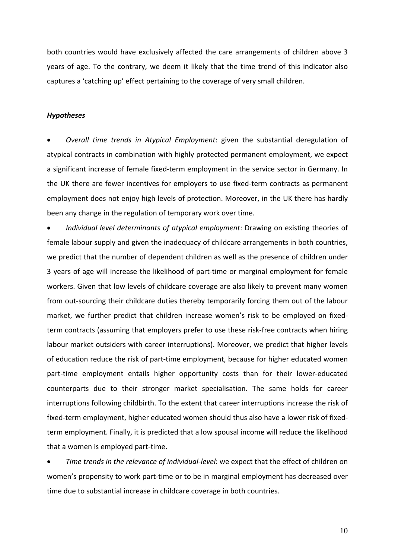both countries would have exclusively affected the care arrangements of children above 3 years of age. To the contrary, we deem it likely that the time trend of this indicator also captures a 'catching up' effect pertaining to the coverage of very small children.

#### *Hypotheses*

 *Overall time trends in Atypical Employment*: given the substantial deregulation of atypical contracts in combination with highly protected permanent employment, we expect a significant increase of female fixed-term employment in the service sector in Germany. In the UK there are fewer incentives for employers to use fixed‐term contracts as permanent employment does not enjoy high levels of protection. Moreover, in the UK there has hardly been any change in the regulation of temporary work over time.

 *Individual level determinants of atypical employment*: Drawing on existing theories of female labour supply and given the inadequacy of childcare arrangements in both countries, we predict that the number of dependent children as well as the presence of children under 3 years of age will increase the likelihood of part‐time or marginal employment for female workers. Given that low levels of childcare coverage are also likely to prevent many women from out-sourcing their childcare duties thereby temporarily forcing them out of the labour market, we further predict that children increase women's risk to be employed on fixed‐ term contracts (assuming that employers prefer to use these risk‐free contracts when hiring labour market outsiders with career interruptions). Moreover, we predict that higher levels of education reduce the risk of part-time employment, because for higher educated women part-time employment entails higher opportunity costs than for their lower-educated counterparts due to their stronger market specialisation. The same holds for career interruptions following childbirth. To the extent that career interruptions increase the risk of fixed-term employment, higher educated women should thus also have a lower risk of fixedterm employment. Finally, it is predicted that a low spousal income will reduce the likelihood that a women is employed part‐time.

 *Time trends in the relevance of individual‐level*: we expect that the effect of children on women's propensity to work part‐time or to be in marginal employment has decreased over time due to substantial increase in childcare coverage in both countries.

10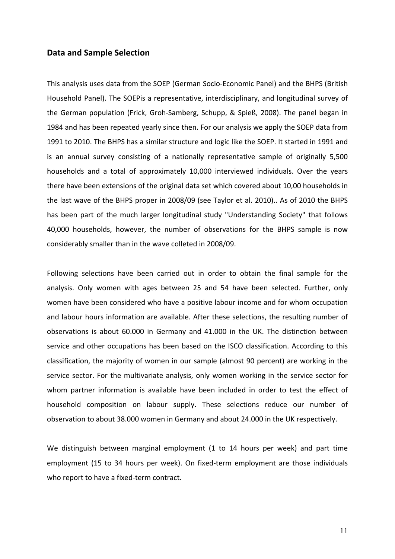# **Data and Sample Selection**

This analysis uses data from the SOEP (German Socio‐Economic Panel) and the BHPS (British Household Panel). The SOEPis a representative, interdisciplinary, and longitudinal survey of the German population (Frick, Groh‐Samberg, Schupp, & Spieß, 2008). The panel began in 1984 and has been repeated yearly since then. For our analysis we apply the SOEP data from 1991 to 2010. The BHPS has a similar structure and logic like the SOEP. It started in 1991 and is an annual survey consisting of a nationally representative sample of originally 5,500 households and a total of approximately 10,000 interviewed individuals. Over the years there have been extensions of the original data set which covered about 10,00 households in the last wave of the BHPS proper in 2008/09 (see Taylor et al. 2010).. As of 2010 the BHPS has been part of the much larger longitudinal study "Understanding Society" that follows 40,000 households, however, the number of observations for the BHPS sample is now considerably smaller than in the wave colleted in 2008/09.

Following selections have been carried out in order to obtain the final sample for the analysis. Only women with ages between 25 and 54 have been selected. Further, only women have been considered who have a positive labour income and for whom occupation and labour hours information are available. After these selections, the resulting number of observations is about 60.000 in Germany and 41.000 in the UK. The distinction between service and other occupations has been based on the ISCO classification. According to this classification, the majority of women in our sample (almost 90 percent) are working in the service sector. For the multivariate analysis, only women working in the service sector for whom partner information is available have been included in order to test the effect of household composition on labour supply. These selections reduce our number of observation to about 38.000 women in Germany and about 24.000 in the UK respectively.

We distinguish between marginal employment (1 to 14 hours per week) and part time employment (15 to 34 hours per week). On fixed-term employment are those individuals who report to have a fixed-term contract.

11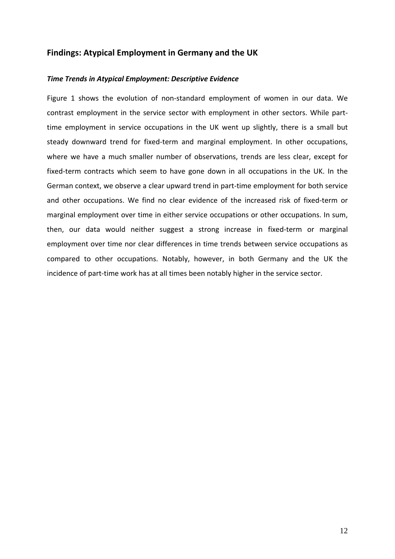# **Findings: Atypical Employment in Germany and the UK**

# *Time Trends in Atypical Employment: Descriptive Evidence*

Figure 1 shows the evolution of non-standard employment of women in our data. We contrast employment in the service sector with employment in other sectors. While part‐ time employment in service occupations in the UK went up slightly, there is a small but steady downward trend for fixed-term and marginal employment. In other occupations, where we have a much smaller number of observations, trends are less clear, except for fixed-term contracts which seem to have gone down in all occupations in the UK. In the German context, we observe a clear upward trend in part‐time employment for both service and other occupations. We find no clear evidence of the increased risk of fixed-term or marginal employment over time in either service occupations or other occupations. In sum, then, our data would neither suggest a strong increase in fixed-term or marginal employment over time nor clear differences in time trends between service occupations as compared to other occupations. Notably, however, in both Germany and the UK the incidence of part-time work has at all times been notably higher in the service sector.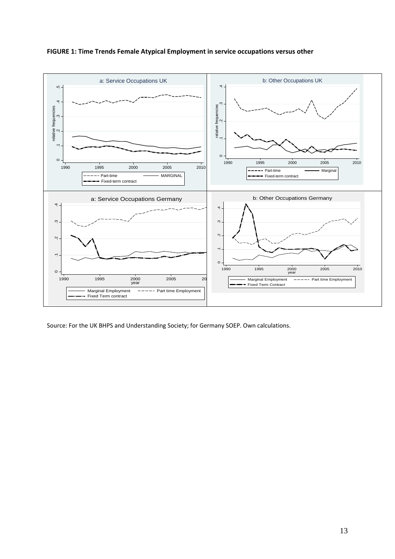



Source: For the UK BHPS and Understanding Society; for Germany SOEP. Own calculations.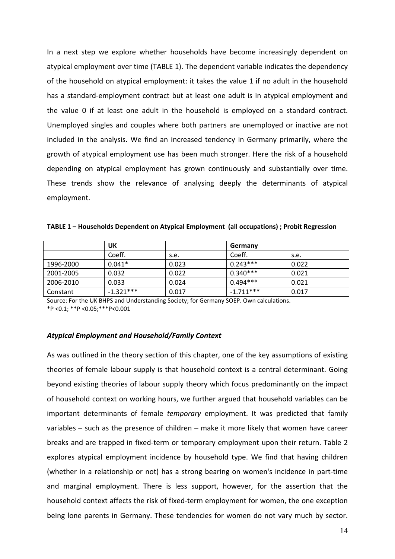In a next step we explore whether households have become increasingly dependent on atypical employment over time (TABLE 1). The dependent variable indicates the dependency of the household on atypical employment: it takes the value 1 if no adult in the household has a standard-employment contract but at least one adult is in atypical employment and the value 0 if at least one adult in the household is employed on a standard contract. Unemployed singles and couples where both partners are unemployed or inactive are not included in the analysis. We find an increased tendency in Germany primarily, where the growth of atypical employment use has been much stronger. Here the risk of a household depending on atypical employment has grown continuously and substantially over time. These trends show the relevance of analysing deeply the determinants of atypical employment.

|           | UΚ          |       | Germany     |       |
|-----------|-------------|-------|-------------|-------|
|           | Coeff.      | s.e.  | Coeff.      | s.e.  |
| 1996-2000 | $0.041*$    | 0.023 | $0.243***$  | 0.022 |
| 2001-2005 | 0.032       | 0.022 | $0.340***$  | 0.021 |
| 2006-2010 | 0.033       | 0.024 | $0.494***$  | 0.021 |
| Constant  | $-1.321***$ | 0.017 | $-1.711***$ | 0.017 |

Source: For the UK BHPS and Understanding Society; for Germany SOEP. Own calculations. \*P <0.1; \*\*P <0.05;\*\*\*P<0.001

#### *Atypical Employment and Household/Family Context*

As was outlined in the theory section of this chapter, one of the key assumptions of existing theories of female labour supply is that household context is a central determinant. Going beyond existing theories of labour supply theory which focus predominantly on the impact of household context on working hours, we further argued that household variables can be important determinants of female *temporary* employment. It was predicted that family variables – such as the presence of children – make it more likely that women have career breaks and are trapped in fixed-term or temporary employment upon their return. Table 2 explores atypical employment incidence by household type. We find that having children (whether in a relationship or not) has a strong bearing on women's incidence in part‐time and marginal employment. There is less support, however, for the assertion that the household context affects the risk of fixed-term employment for women, the one exception being lone parents in Germany. These tendencies for women do not vary much by sector.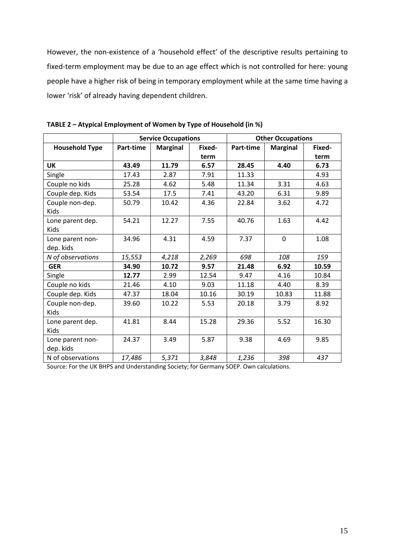However, the non-existence of a 'household effect' of the descriptive results pertaining to fixed‐term employment may be due to an age effect which is not controlled for here: young people have a higher risk of being in temporary employment while at the same time having a lower 'risk' of already having dependent children.

|                                 | <b>Service Occupations</b> |                 | <b>Other Occupations</b> |           |                 |        |
|---------------------------------|----------------------------|-----------------|--------------------------|-----------|-----------------|--------|
| <b>Household Type</b>           | Part-time                  | <b>Marginal</b> | Fixed-                   | Part-time | <b>Marginal</b> | Fixed- |
|                                 |                            |                 | term                     |           |                 | term   |
| <b>UK</b>                       | 43.49                      | 11.79           | 6.57                     | 28.45     | 4.40            | 6.73   |
| Single                          | 17.43                      | 2.87            | 7.91                     | 11.33     |                 | 4.93   |
| Couple no kids                  | 25.28                      | 4.62            | 5.48                     | 11.34     | 3.31            | 4.63   |
| Couple dep. Kids                | 53.54                      | 17.5            | 7.41                     | 43.20     | 6.31            | 9.89   |
| Couple non-dep.<br><b>Kids</b>  | 50.79                      | 10.42           | 4.36                     | 22.84     | 3.62            | 4.72   |
| Lone parent dep.<br>Kids        | 54.21                      | 12.27           | 7.55                     | 40.76     | 1.63            | 4.42   |
| Lone parent non-<br>dep. kids   | 34.96                      | 4.31            | 4.59                     | 7.37      | $\mathbf 0$     | 1.08   |
| N of observations               | 15,553                     | 4,218           | 2,269                    | 698       | 108             | 159    |
| <b>GER</b>                      | 34.90                      | 10.72           | 9.57                     | 21.48     | 6.92            | 10.59  |
| Single                          | 12.77                      | 2.99            | 12.54                    | 9.47      | 4.16            | 10.84  |
| Couple no kids                  | 21.46                      | 4.10            | 9.03                     | 11.18     | 4.40            | 8.39   |
| Couple dep. Kids                | 47.37                      | 18.04           | 10.16                    | 30.19     | 10.83           | 11.88  |
| Couple non-dep.<br><b>Kids</b>  | 39.60                      | 10.22           | 5.53                     | 20.18     | 3.79            | 8.92   |
| Lone parent dep.<br><b>Kids</b> | 41.81                      | 8.44            | 15.28                    | 29.36     | 5.52            | 16.30  |
| Lone parent non-<br>dep. kids   | 24.37                      | 3.49            | 5.87                     | 9.38      | 4.69            | 9.85   |
| N of observations               | 17,486                     | 5,371           | 3,848                    | 1,236     | 398             | 437    |

**TABLE 2 – Atypical Employment of Women by Type of Household (in %)**

Source: For the UK BHPS and Understanding Society; for Germany SOEP. Own calculations.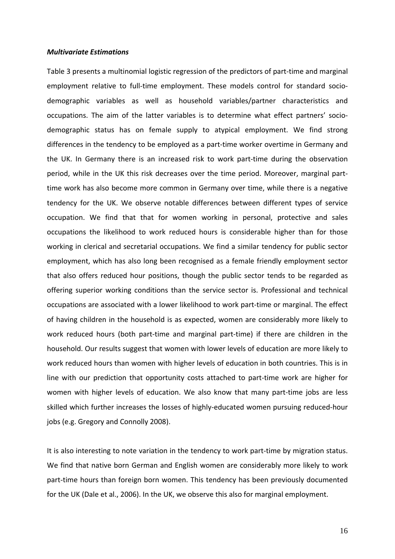#### *Multivariate Estimations*

Table 3 presents a multinomial logistic regression of the predictors of part‐time and marginal employment relative to full-time employment. These models control for standard sociodemographic variables as well as household variables/partner characteristics and occupations. The aim of the latter variables is to determine what effect partners' socio‐ demographic status has on female supply to atypical employment. We find strong differences in the tendency to be employed as a part-time worker overtime in Germany and the UK. In Germany there is an increased risk to work part-time during the observation period, while in the UK this risk decreases over the time period. Moreover, marginal part‐ time work has also become more common in Germany over time, while there is a negative tendency for the UK. We observe notable differences between different types of service occupation. We find that that for women working in personal, protective and sales occupations the likelihood to work reduced hours is considerable higher than for those working in clerical and secretarial occupations. We find a similar tendency for public sector employment, which has also long been recognised as a female friendly employment sector that also offers reduced hour positions, though the public sector tends to be regarded as offering superior working conditions than the service sector is. Professional and technical occupations are associated with a lower likelihood to work part‐time or marginal. The effect of having children in the household is as expected, women are considerably more likely to work reduced hours (both part‐time and marginal part‐time) if there are children in the household. Our results suggest that women with lower levels of education are more likely to work reduced hours than women with higher levels of education in both countries. This is in line with our prediction that opportunity costs attached to part-time work are higher for women with higher levels of education. We also know that many part-time jobs are less skilled which further increases the losses of highly-educated women pursuing reduced-hour jobs (e.g. Gregory and Connolly 2008).

It is also interesting to note variation in the tendency to work part-time by migration status. We find that native born German and English women are considerably more likely to work part-time hours than foreign born women. This tendency has been previously documented for the UK (Dale et al., 2006). In the UK, we observe this also for marginal employment.

16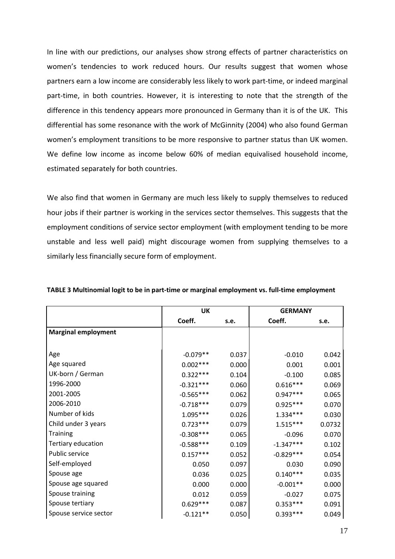In line with our predictions, our analyses show strong effects of partner characteristics on women's tendencies to work reduced hours. Our results suggest that women whose partners earn a low income are considerably less likely to work part-time, or indeed marginal part-time, in both countries. However, it is interesting to note that the strength of the difference in this tendency appears more pronounced in Germany than it is of the UK. This differential has some resonance with the work of McGinnity (2004) who also found German women's employment transitions to be more responsive to partner status than UK women. We define low income as income below 60% of median equivalised household income, estimated separately for both countries.

We also find that women in Germany are much less likely to supply themselves to reduced hour jobs if their partner is working in the services sector themselves. This suggests that the employment conditions of service sector employment (with employment tending to be more unstable and less well paid) might discourage women from supplying themselves to a similarly less financially secure form of employment.

|                            | <b>UK</b>   |       | <b>GERMANY</b> |        |
|----------------------------|-------------|-------|----------------|--------|
|                            | Coeff.      | s.e.  | Coeff.         | s.e.   |
| <b>Marginal employment</b> |             |       |                |        |
|                            |             |       |                |        |
| Age                        | $-0.079**$  | 0.037 | $-0.010$       | 0.042  |
| Age squared                | $0.002***$  | 0.000 | 0.001          | 0.001  |
| UK-born / German           | $0.322***$  | 0.104 | $-0.100$       | 0.085  |
| 1996-2000                  | $-0.321***$ | 0.060 | $0.616***$     | 0.069  |
| 2001-2005                  | $-0.565***$ | 0.062 | $0.947***$     | 0.065  |
| 2006-2010                  | $-0.718***$ | 0.079 | $0.925***$     | 0.070  |
| Number of kids             | $1.095***$  | 0.026 | $1.334***$     | 0.030  |
| Child under 3 years        | $0.723***$  | 0.079 | $1.515***$     | 0.0732 |
| <b>Training</b>            | $-0.308***$ | 0.065 | $-0.096$       | 0.070  |
| Tertiary education         | $-0.588***$ | 0.109 | $-1.347***$    | 0.102  |
| Public service             | $0.157***$  | 0.052 | $-0.829***$    | 0.054  |
| Self-employed              | 0.050       | 0.097 | 0.030          | 0.090  |
| Spouse age                 | 0.036       | 0.025 | $0.140***$     | 0.035  |
| Spouse age squared         | 0.000       | 0.000 | $-0.001**$     | 0.000  |
| Spouse training            | 0.012       | 0.059 | $-0.027$       | 0.075  |
| Spouse tertiary            | $0.629***$  | 0.087 | $0.353***$     | 0.091  |
| Spouse service sector      | $-0.121**$  | 0.050 | $0.393***$     | 0.049  |

**TABLE 3 Multinomial logit to be in part‐time or marginal employment vs. full‐time employment**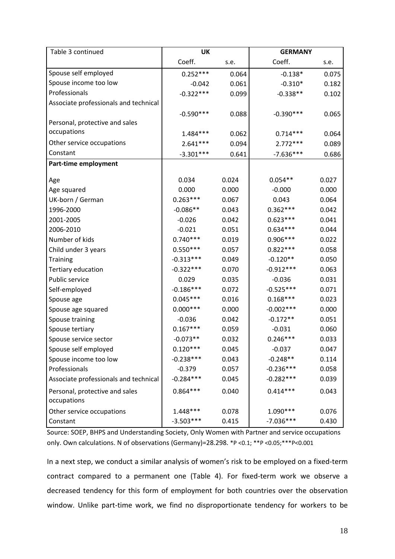| Table 3 continued                             | UK          |       | <b>GERMANY</b> |       |
|-----------------------------------------------|-------------|-------|----------------|-------|
|                                               | Coeff.      | s.e.  | Coeff.         | s.e.  |
| Spouse self employed                          | $0.252***$  | 0.064 | $-0.138*$      | 0.075 |
| Spouse income too low                         | $-0.042$    | 0.061 | $-0.310*$      | 0.182 |
| Professionals                                 | $-0.322***$ | 0.099 | $-0.338**$     | 0.102 |
| Associate professionals and technical         |             |       |                |       |
|                                               | $-0.590***$ | 0.088 | $-0.390***$    | 0.065 |
| Personal, protective and sales                |             |       |                |       |
| occupations                                   | $1.484***$  | 0.062 | $0.714***$     | 0.064 |
| Other service occupations                     | $2.641***$  | 0.094 | $2.772***$     | 0.089 |
| Constant                                      | $-3.301***$ | 0.641 | $-7.636***$    | 0.686 |
| Part-time employment                          |             |       |                |       |
| Age                                           | 0.034       | 0.024 | $0.054**$      | 0.027 |
| Age squared                                   | 0.000       | 0.000 | $-0.000$       | 0.000 |
| UK-born / German                              | $0.263***$  | 0.067 | 0.043          | 0.064 |
| 1996-2000                                     | $-0.086**$  | 0.043 | $0.362***$     | 0.042 |
| 2001-2005                                     | $-0.026$    | 0.042 | $0.623***$     | 0.041 |
| 2006-2010                                     | $-0.021$    | 0.051 | $0.634***$     | 0.044 |
| Number of kids                                | $0.740***$  | 0.019 | $0.906***$     | 0.022 |
| Child under 3 years                           | $0.550***$  | 0.057 | $0.822***$     | 0.058 |
| <b>Training</b>                               | $-0.313***$ | 0.049 | $-0.120**$     | 0.050 |
| Tertiary education                            | $-0.322***$ | 0.070 | $-0.912***$    | 0.063 |
| Public service                                | 0.029       | 0.035 | $-0.036$       | 0.031 |
| Self-employed                                 | $-0.186***$ | 0.072 | $-0.525***$    | 0.071 |
| Spouse age                                    | $0.045***$  | 0.016 | $0.168***$     | 0.023 |
| Spouse age squared                            | $0.000***$  | 0.000 | $-0.002***$    | 0.000 |
| Spouse training                               | $-0.036$    | 0.042 | $-0.172**$     | 0.051 |
| Spouse tertiary                               | $0.167***$  | 0.059 | $-0.031$       | 0.060 |
| Spouse service sector                         | $-0.073**$  | 0.032 | $0.246***$     | 0.033 |
| Spouse self employed                          | $0.120***$  | 0.045 | $-0.037$       | 0.047 |
| Spouse income too low                         | $-0.238***$ | 0.043 | $-0.248**$     | 0.114 |
| Professionals                                 | $-0.379$    | 0.057 | $-0.236***$    | 0.058 |
| Associate professionals and technical         | $-0.284***$ | 0.045 | $-0.282***$    | 0.039 |
| Personal, protective and sales<br>occupations | $0.864***$  | 0.040 | $0.414***$     | 0.043 |
| Other service occupations                     | 1.448***    | 0.078 | $1.090***$     | 0.076 |
| Constant                                      | $-3.503***$ | 0.415 | $-7.036***$    | 0.430 |

Source: SOEP, BHPS and Understanding Society, Only Women with Partner and service occupations only. Own calculations. N of observations (Germany)=28.298. \*P <0.1; \*\*P <0.05;\*\*\*P<0.001

In a next step, we conduct a similar analysis of women's risk to be employed on a fixed‐term contract compared to a permanent one (Table 4). For fixed-term work we observe a decreased tendency for this form of employment for both countries over the observation window. Unlike part-time work, we find no disproportionate tendency for workers to be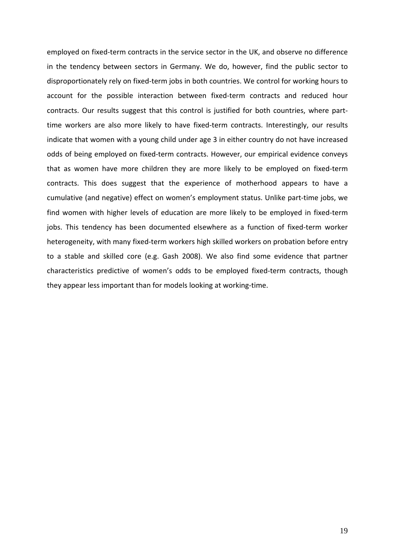employed on fixed-term contracts in the service sector in the UK, and observe no difference in the tendency between sectors in Germany. We do, however, find the public sector to disproportionately rely on fixed‐term jobs in both countries. We control for working hours to account for the possible interaction between fixed-term contracts and reduced hour contracts. Our results suggest that this control is justified for both countries, where part‐ time workers are also more likely to have fixed-term contracts. Interestingly, our results indicate that women with a young child under age 3 in either country do not have increased odds of being employed on fixed‐term contracts. However, our empirical evidence conveys that as women have more children they are more likely to be employed on fixed‐term contracts. This does suggest that the experience of motherhood appears to have a cumulative (and negative) effect on women's employment status. Unlike part‐time jobs, we find women with higher levels of education are more likely to be employed in fixed-term jobs. This tendency has been documented elsewhere as a function of fixed-term worker heterogeneity, with many fixed-term workers high skilled workers on probation before entry to a stable and skilled core (e.g. Gash 2008). We also find some evidence that partner characteristics predictive of women's odds to be employed fixed-term contracts, though they appear less important than for models looking at working‐time.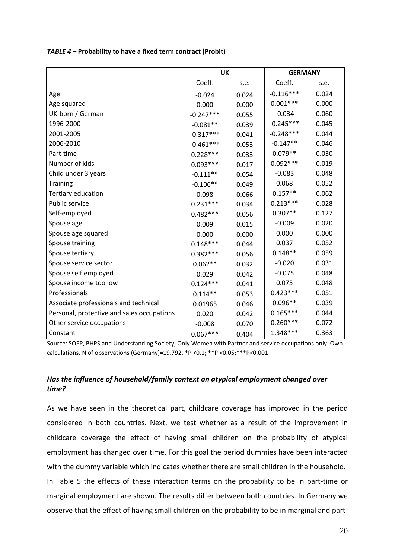|                                            | <b>UK</b>   |       | <b>GERMANY</b> |       |
|--------------------------------------------|-------------|-------|----------------|-------|
|                                            | Coeff.      | s.e.  | Coeff.         | s.e.  |
| Age                                        | $-0.024$    | 0.024 | $-0.116***$    | 0.024 |
| Age squared                                | 0.000       | 0.000 | $0.001***$     | 0.000 |
| UK-born / German                           | $-0.247***$ | 0.055 | $-0.034$       | 0.060 |
| 1996-2000                                  | $-0.081**$  | 0.039 | $-0.245***$    | 0.045 |
| 2001-2005                                  | $-0.317***$ | 0.041 | $-0.248***$    | 0.044 |
| 2006-2010                                  | $-0.461***$ | 0.053 | $-0.147**$     | 0.046 |
| Part-time                                  | $0.228***$  | 0.033 | $0.079**$      | 0.030 |
| Number of kids                             | $0.093***$  | 0.017 | $0.092***$     | 0.019 |
| Child under 3 years                        | $-0.111**$  | 0.054 | $-0.083$       | 0.048 |
| <b>Training</b>                            | $-0.106**$  | 0.049 | 0.068          | 0.052 |
| Tertiary education                         | 0.098       | 0.066 | $0.157**$      | 0.062 |
| Public service                             | $0.231***$  | 0.034 | $0.213***$     | 0.028 |
| Self-employed                              | $0.482***$  | 0.056 | $0.307**$      | 0.127 |
| Spouse age                                 | 0.009       | 0.015 | $-0.009$       | 0.020 |
| Spouse age squared                         | 0.000       | 0.000 | 0.000          | 0.000 |
| Spouse training                            | $0.148***$  | 0.044 | 0.037          | 0.052 |
| Spouse tertiary                            | $0.382***$  | 0.056 | $0.148**$      | 0.059 |
| Spouse service sector                      | $0.062**$   | 0.032 | $-0.020$       | 0.031 |
| Spouse self employed                       | 0.029       | 0.042 | $-0.075$       | 0.048 |
| Spouse income too low                      | $0.124***$  | 0.041 | 0.075          | 0.048 |
| Professionals                              | $0.114**$   | 0.053 | $0.423***$     | 0.051 |
| Associate professionals and technical      | 0.01965     | 0.046 | $0.096**$      | 0.039 |
| Personal, protective and sales occupations | 0.020       | 0.042 | $0.165***$     | 0.044 |
| Other service occupations                  | $-0.008$    | 0.070 | $0.260***$     | 0.072 |
| Constant                                   | $0.067***$  | 0.404 | 1.348***       | 0.363 |

*TABLE 4 –* **Probability to have a fixed term contract (Probit)** 

Source: SOEP, BHPS and Understanding Society, Only Women with Partner and service occupations only. Own calculations. N of observations (Germany)=19.792. \*P <0.1; \*\*P <0.05;\*\*\*P<0.001

# *Has the influence of household/family context on atypical employment changed over time?*

As we have seen in the theoretical part, childcare coverage has improved in the period considered in both countries. Next, we test whether as a result of the improvement in childcare coverage the effect of having small children on the probability of atypical employment has changed over time. For this goal the period dummies have been interacted with the dummy variable which indicates whether there are small children in the household.

In Table 5 the effects of these interaction terms on the probability to be in part‐time or marginal employment are shown. The results differ between both countries. In Germany we observe that the effect of having small children on the probability to be in marginal and part‐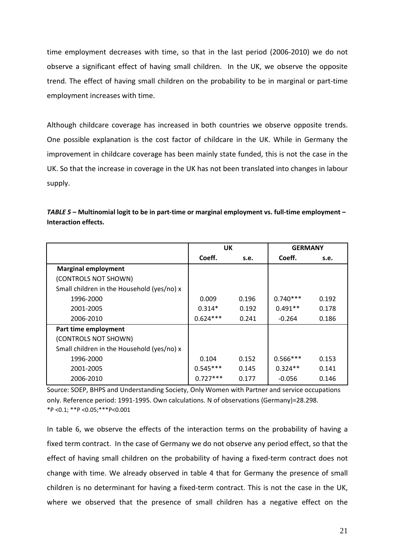time employment decreases with time, so that in the last period (2006‐2010) we do not observe a significant effect of having small children. In the UK, we observe the opposite trend. The effect of having small children on the probability to be in marginal or part‐time employment increases with time.

Although childcare coverage has increased in both countries we observe opposite trends. One possible explanation is the cost factor of childcare in the UK. While in Germany the improvement in childcare coverage has been mainly state funded, this is not the case in the UK. So that the increase in coverage in the UK has not been translated into changes in labour supply.

| TABLE 5 - Multinomial logit to be in part-time or marginal employment vs. full-time employment - |
|--------------------------------------------------------------------------------------------------|
| Interaction effects.                                                                             |

|                                            | UK         |       | <b>GERMANY</b> |       |
|--------------------------------------------|------------|-------|----------------|-------|
|                                            | Coeff.     | s.e.  | Coeff.         | s.e.  |
| <b>Marginal employment</b>                 |            |       |                |       |
| (CONTROLS NOT SHOWN)                       |            |       |                |       |
| Small children in the Household (yes/no) x |            |       |                |       |
| 1996-2000                                  | 0.009      | 0.196 | $0.740***$     | 0.192 |
| 2001-2005                                  | $0.314*$   | 0.192 | $0.491**$      | 0.178 |
| 2006-2010                                  | $0.624***$ | 0.241 | $-0.264$       | 0.186 |
| Part time employment                       |            |       |                |       |
| (CONTROLS NOT SHOWN)                       |            |       |                |       |
| Small children in the Household (yes/no) x |            |       |                |       |
| 1996-2000                                  | 0.104      | 0.152 | $0.566***$     | 0.153 |
| 2001-2005                                  | $0.545***$ | 0.145 | $0.324**$      | 0.141 |
| 2006-2010                                  | $0.727***$ | 0.177 | $-0.056$       | 0.146 |

Source: SOEP, BHPS and Understanding Society, Only Women with Partner and service occupations only. Reference period: 1991‐1995. Own calculations. N of observations (Germany)=28.298. \*P <0.1; \*\*P <0.05;\*\*\*P<0.001

In table 6, we observe the effects of the interaction terms on the probability of having a fixed term contract. In the case of Germany we do not observe any period effect, so that the effect of having small children on the probability of having a fixed-term contract does not change with time. We already observed in table 4 that for Germany the presence of small children is no determinant for having a fixed‐term contract. This is not the case in the UK, where we observed that the presence of small children has a negative effect on the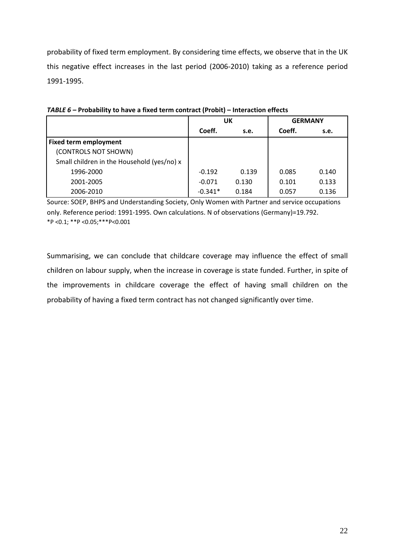probability of fixed term employment. By considering time effects, we observe that in the UK this negative effect increases in the last period (2006‐2010) taking as a reference period 1991‐1995.

|                                            | UK        |       | <b>GERMANY</b> |       |
|--------------------------------------------|-----------|-------|----------------|-------|
|                                            | Coeff.    | s.e.  | Coeff.         | s.e.  |
| <b>Fixed term employment</b>               |           |       |                |       |
| (CONTROLS NOT SHOWN)                       |           |       |                |       |
| Small children in the Household (yes/no) x |           |       |                |       |
| 1996-2000                                  | $-0.192$  | 0.139 | 0.085          | 0.140 |
| 2001-2005                                  | $-0.071$  | 0.130 | 0.101          | 0.133 |
| 2006-2010                                  | $-0.341*$ | 0.184 | 0.057          | 0.136 |

*TABLE 6 –* **Probability to have a fixed term contract (Probit) – Interaction effects**

Source: SOEP, BHPS and Understanding Society, Only Women with Partner and service occupations only. Reference period: 1991‐1995. Own calculations. N of observations (Germany)=19.792. \*P <0.1; \*\*P <0.05;\*\*\*P<0.001

Summarising, we can conclude that childcare coverage may influence the effect of small children on labour supply, when the increase in coverage is state funded. Further, in spite of the improvements in childcare coverage the effect of having small children on the probability of having a fixed term contract has not changed significantly over time.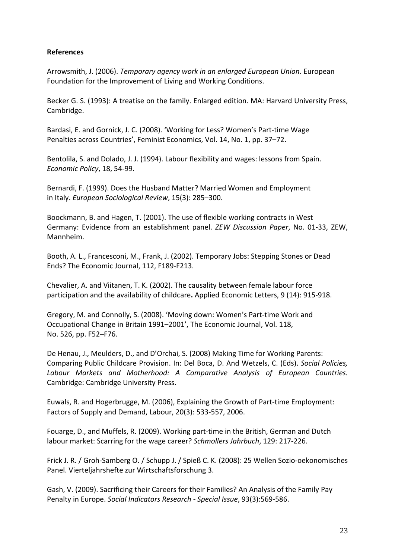# **References**

Arrowsmith, J. (2006). *Temporary agency work in an enlarged European Union*. European Foundation for the Improvement of Living and Working Conditions.

Becker G. S. (1993): A treatise on the family. Enlarged edition. MA: Harvard University Press, Cambridge.

Bardasi, E. and Gornick, J. C. (2008). 'Working for Less? Women's Part‐time Wage Penalties across Countries', Feminist Economics, Vol. 14, No. 1, pp. 37–72.

Bentolila, S. and Dolado, J. J. (1994). Labour flexibility and wages: lessons from Spain. *Economic Policy*, 18, 54‐99.

Bernardi, F. (1999). Does the Husband Matter? Married Women and Employment in Italy. *European Sociological Review*, 15(3): 285–300.

Boockmann, B. and Hagen, T. (2001). The use of flexible working contracts in West Germany: Evidence from an establishment panel. *ZEW Discussion Paper*, No. 01‐33, ZEW, Mannheim.

Booth, A. L., Francesconi, M., Frank, J. (2002). Temporary Jobs: Stepping Stones or Dead Ends? The Economic Journal, 112, F189‐F213.

Chevalier, A. and Viitanen, T. K. (2002). The causality between female labour force participation and the availability of childcare**.** Applied Economic Letters, 9 (14): 915‐918.

Gregory, M. and Connolly, S. (2008). 'Moving down: Women's Part‐time Work and Occupational Change in Britain 1991–2001', The Economic Journal, Vol. 118, No. 526, pp. F52–F76.

De Henau, J., Meulders, D., and D'Orchai, S. (2008) Making Time for Working Parents: Comparing Public Childcare Provision. In: Del Boca, D. And Wetzels, C. (Eds). *Social Policies, Labour Markets and Motherhood: A Comparative Analysis of European Countries.* Cambridge: Cambridge University Press.

Euwals, R. and Hogerbrugge, M. (2006), Explaining the Growth of Part‐time Employment: Factors of Supply and Demand, Labour, 20(3): 533‐557, 2006.

Fouarge, D., and Muffels, R. (2009). Working part‐time in the British, German and Dutch labour market: Scarring for the wage career? *Schmollers Jahrbuch*, 129: 217‐226.

Frick J. R. / Groh‐Samberg O. / Schupp J. / Spieß C. K. (2008): 25 Wellen Sozio‐oekonomisches Panel. Vierteljahrshefte zur Wirtschaftsforschung 3.

Gash, V. (2009). Sacrificing their Careers for their Families? An Analysis of the Family Pay Penalty in Europe. *Social Indicators Research ‐ Special Issue*, 93(3):569‐586.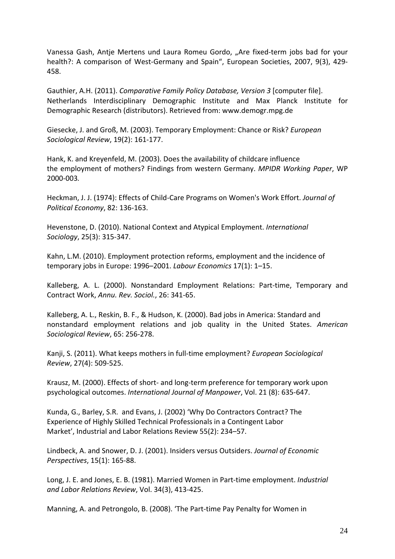Vanessa Gash, Antje Mertens und Laura Romeu Gordo, "Are fixed-term jobs bad for your health?: A comparison of West-Germany and Spain", European Societies, 2007, 9(3), 429-458.

Gauthier, A.H. (2011). *Comparative Family Policy Database, Version 3* [computer file]. Netherlands Interdisciplinary Demographic Institute and Max Planck Institute for Demographic Research (distributors). Retrieved from: www.demogr.mpg.de

Giesecke, J. and Groß, M. (2003). Temporary Employment: Chance or Risk? *European Sociological Review*, 19(2): 161‐177.

Hank, K. and Kreyenfeld, M. (2003). Does the availability of childcare influence the employment of mothers? Findings from western Germany. *MPIDR Working Paper*, WP 2000‐003*.*

Heckman, J. J. (1974): Effects of Child‐Care Programs on Women's Work Effort. *Journal of Political Economy*, 82: 136‐163.

Hevenstone, D. (2010). National Context and Atypical Employment. *International Sociology*, 25(3): 315‐347.

Kahn, L.M. (2010). Employment protection reforms, employment and the incidence of temporary jobs in Europe: 1996–2001. *Labour Economics* 17(1): 1–15.

Kalleberg, A. L. (2000). Nonstandard Employment Relations: Part‐time, Temporary and Contract Work, *Annu. Rev. Sociol.*, 26: 341‐65.

Kalleberg, A. L., Reskin, B. F., & Hudson, K. (2000). Bad jobs in America: Standard and nonstandard employment relations and job quality in the United States. *American Sociological Review*, 65: 256‐278.

Kanji, S. (2011). What keeps mothers in full‐time employment? *European Sociological Review*, 27(4): 509‐525.

Krausz, M. (2000). Effects of short‐ and long‐term preference for temporary work upon psychological outcomes. *International Journal of Manpower*, Vol. 21 (8): 635‐647.

Kunda, G., Barley, S.R. and Evans, J. (2002) 'Why Do Contractors Contract? The Experience of Highly Skilled Technical Professionals in a Contingent Labor Market', Industrial and Labor Relations Review 55(2): 234–57.

Lindbeck, A. and Snower, D. J. (2001). Insiders versus Outsiders. *Journal of Economic Perspectives*, 15(1): 165‐88.

Long, J. E. and Jones, E. B. (1981). Married Women in Part-time employment. *Industrial and Labor Relations Review*, Vol. 34(3), 413‐425.

Manning, A. and Petrongolo, B. (2008). 'The Part‐time Pay Penalty for Women in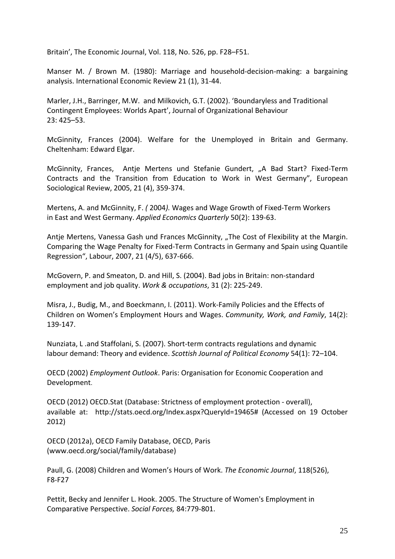Britain', The Economic Journal, Vol. 118, No. 526, pp. F28–F51.

Manser M. / Brown M. (1980): Marriage and household-decision-making: a bargaining analysis. International Economic Review 21 (1), 31‐44.

Marler, J.H., Barringer, M.W. and Milkovich, G.T. (2002). 'Boundaryless and Traditional Contingent Employees: Worlds Apart', Journal of Organizational Behaviour 23: 425–53.

McGinnity, Frances (2004). Welfare for the Unemployed in Britain and Germany. Cheltenham: Edward Elgar.

McGinnity, Frances, Antje Mertens und Stefanie Gundert, "A Bad Start? Fixed-Term Contracts and the Transition from Education to Work in West Germany", European Sociological Review, 2005, 21 (4), 359‐374.

Mertens, A. and McGinnity, F. *(* 2004*).* Wages and Wage Growth of Fixed‐Term Workers in East and West Germany. *Applied Economics Quarterly* 50(2): 139‐63.

Antje Mertens, Vanessa Gash und Frances McGinnity, "The Cost of Flexibility at the Margin. Comparing the Wage Penalty for Fixed‐Term Contracts in Germany and Spain using Quantile Regression", Labour, 2007, 21 (4/5), 637‐666.

McGovern, P. and Smeaton, D. and Hill, S. (2004). Bad jobs in Britain: non‐standard employment and job quality. *Work & occupations*, 31 (2): 225‐249.

Misra, J., Budig, M., and Boeckmann, I. (2011). Work‐Family Policies and the Effects of Children on Women's Employment Hours and Wages. *Community, Work, and Family*, 14(2): 139‐147.

Nunziata, L .and Staffolani, S. (2007). Short‐term contracts regulations and dynamic labour demand: Theory and evidence. *Scottish Journal of Political Economy* 54(1): 72–104.

OECD (2002) *Employment Outlook*. Paris: Organisation for Economic Cooperation and Development.

OECD (2012) OECD.Stat (Database: Strictness of employment protection ‐ overall), available at: http://stats.oecd.org/Index.aspx?QueryId=19465# (Accessed on 19 October 2012)

OECD (2012a), OECD Family Database, OECD, Paris (www.oecd.org/social/family/database)

Paull, G. (2008) Children and Women's Hours of Work. *The Economic Journal*, 118(526), F8‐F27

Pettit, Becky and Jennifer L. Hook. 2005. The Structure of Women's Employment in Comparative Perspective. *Social Forces,* 84:779‐801.